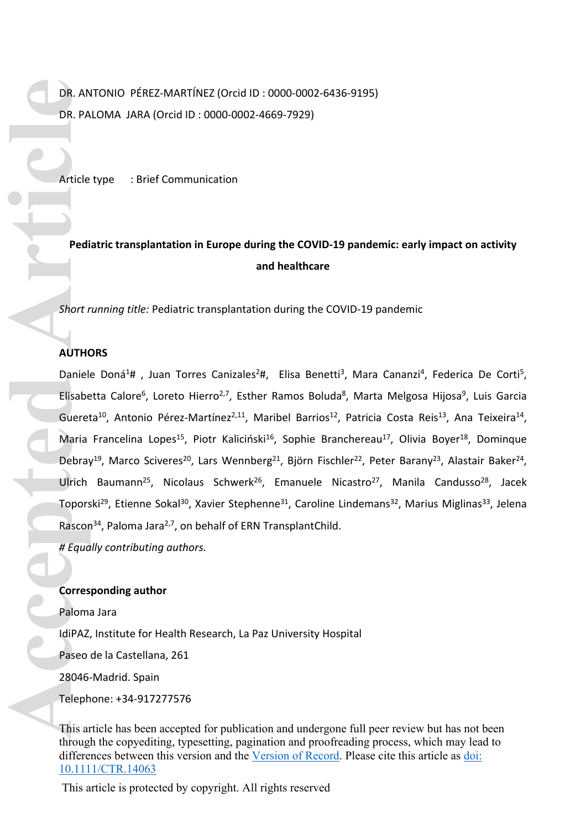DR. ANTONIO PÉREZ-MARTÍNEZ (Orcid ID : 0000-0002-6436-9195) DR. PALOMA JARA (Orcid ID : 0000-0002-4669-7929)

Article type : Brief Communication

# **Pediatric transplantation in Europe during the COVID-19 pandemic: early impact on activity and healthcare**

*Short running title:* Pediatric transplantation during the COVID-19 pandemic

# **AUTHORS**

Daniele Doná<sup>1</sup>#, Juan Torres Canizales<sup>2</sup>#, Elisa Benetti<sup>3</sup>, Mara Cananzi<sup>4</sup>, Federica De Corti<sup>5</sup>, Elisabetta Calore<sup>6</sup>, Loreto Hierro<sup>2,7</sup>, Esther Ramos Boluda<sup>8</sup>, Marta Melgosa Hijosa<sup>9</sup>, Luis Garcia Guereta<sup>10</sup>, Antonio Pérez-Martínez<sup>2,11</sup>, Maribel Barrios<sup>12</sup>, Patricia Costa Reis<sup>13</sup>, Ana Teixeira<sup>14</sup>, Maria Francelina Lopes<sup>15</sup>, Piotr Kaliciński<sup>16</sup>, Sophie Branchereau<sup>17</sup>, Olivia Boyer<sup>18</sup>, Dominque Debray<sup>19</sup>, Marco Sciveres<sup>20</sup>, Lars Wennberg<sup>21</sup>, Björn Fischler<sup>22</sup>, Peter Barany<sup>23</sup>, Alastair Baker<sup>24</sup>, Ulrich Baumann<sup>25</sup>, Nicolaus Schwerk<sup>26</sup>, Emanuele Nicastro<sup>27</sup>, Manila Candusso<sup>28</sup>, Jacek Toporski<sup>29</sup>, Etienne Sokal<sup>30</sup>, Xavier Stephenne<sup>31</sup>, Caroline Lindemans<sup>32</sup>, Marius Miglinas<sup>33</sup>, Jelena Rascon<sup>34</sup>, Paloma Jara<sup>2,7</sup>, on behalf of ERN TransplantChild. **DR. AN<br>
DR. PA<br>
Article**<br>
Pedi<br> **Accepted Article**<br>
Filisabe<br>
Gueret<br>
Maria<br>
Debray<br>
Ulrich<br>
Topors<br>
Rascor<br>
# Equa<br>
Corres<br>
Palom:<br>
Ligh Az<br>
28046<br>
Teleph<br>
This are

*# Equally contributing authors.*

# **Corresponding author**

Paloma Jara IdiPAZ, Institute for Health Research, La Paz University Hospital Paseo de la Castellana, 261 28046-Madrid. Spain Telephone: +34-917277576

This article has been accepted for publication and undergone full peer review but has not been through the copyediting, typesetting, pagination and proofreading process, which may lead to differences between this version and the [Version of Record.](https://doi.org/10.1111/CTR.14063) Please cite this article as [doi:](https://doi.org/10.1111/CTR.14063)  [10.1111/CTR.14063](https://doi.org/10.1111/CTR.14063)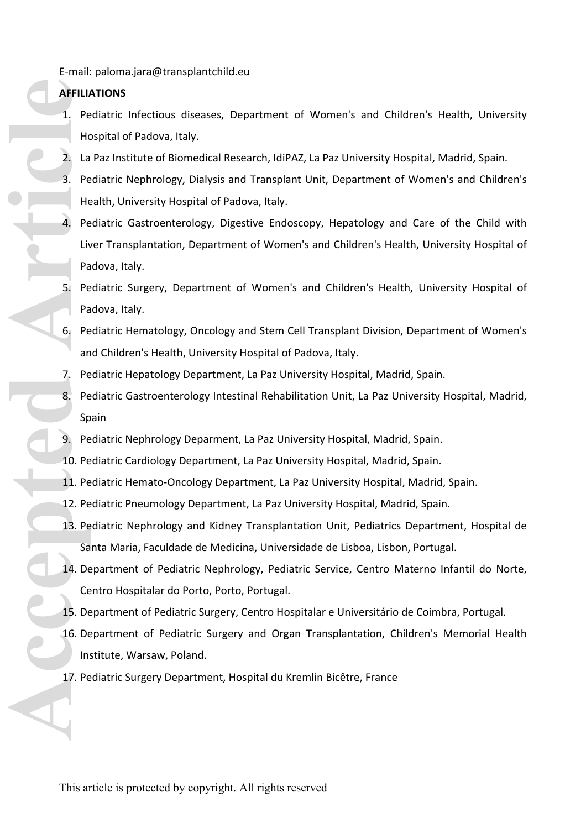E-mail: paloma.jara@transplantchild.eu

# **AFFILIATIONS**

- 1. Pediatric Infectious diseases, Department of Women's and Children's Health, University Hospital of Padova, Italy.
- 2. La Paz Institute of Biomedical Research, IdiPAZ, La Paz University Hospital, Madrid, Spain.
- 3. Pediatric Nephrology, Dialysis and Transplant Unit, Department of Women's and Children's Health, University Hospital of Padova, Italy.
- 4. Pediatric Gastroenterology, Digestive Endoscopy, Hepatology and Care of the Child with Liver Transplantation, Department of Women's and Children's Health, University Hospital of Padova, Italy. **AFFILLI** Pe<br>
1. Pe<br>
1. Pe<br>
1. Pe<br>
1. Pe<br>
4. Pe<br>
4. Pe<br>
5. Pe<br>
5. Pe<br>
5. Pe<br>
8. Pe<br>
10. Pe<br>
10. Pe<br>
10. Pe<br>
10. Pe<br>
11. Pe<br>
12. Pe<br>
14. De<br>
14. De<br>
14. Pe<br>
14. Pe<br>
14. Pe<br>
16. De<br>
14. Pe<br>
14. Pe<br>
14. Pe<br>
16. De<br>
14. Pe<br>
14
	- 5. Pediatric Surgery, Department of Women's and Children's Health, University Hospital of Padova, Italy.
	- 6. Pediatric Hematology, Oncology and Stem Cell Transplant Division, Department of Women's and Children's Health, University Hospital of Padova, Italy.
	- 7. Pediatric Hepatology Department, La Paz University Hospital, Madrid, Spain.
	- 8. Pediatric Gastroenterology Intestinal Rehabilitation Unit, La Paz University Hospital, Madrid, Spain
	- 9. Pediatric Nephrology Deparment, La Paz University Hospital, Madrid, Spain.
	- 10. Pediatric Cardiology Department, La Paz University Hospital, Madrid, Spain.
	- 11. Pediatric Hemato-Oncology Department, La Paz University Hospital, Madrid, Spain.
	- 12. Pediatric Pneumology Department, La Paz University Hospital, Madrid, Spain.
	- 13. Pediatric Nephrology and Kidney Transplantation Unit, Pediatrics Department, Hospital de Santa Maria, Faculdade de Medicina, Universidade de Lisboa, Lisbon, Portugal.
	- 14. Department of Pediatric Nephrology, Pediatric Service, Centro Materno Infantil do Norte, Centro Hospitalar do Porto, Porto, Portugal.
	- 15. Department of Pediatric Surgery, Centro Hospitalar e Universitário de Coimbra, Portugal.
	- 16. Department of Pediatric Surgery and Organ Transplantation, Children's Memorial Health Institute, Warsaw, Poland.
	- 17. Pediatric Surgery Department, Hospital du Kremlin Bicêtre, France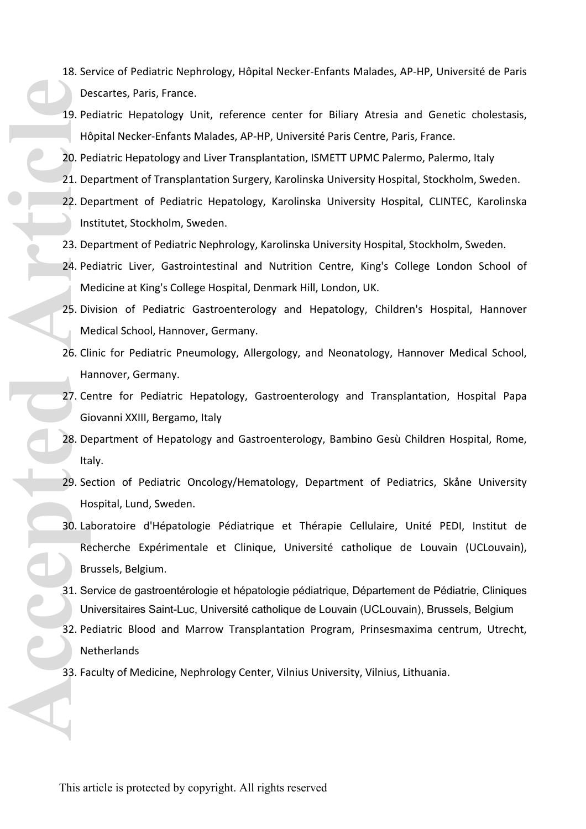- 18. Service of Pediatric Nephrology, Hôpital Necker-Enfants Malades, AP-HP, Université de Paris Descartes, Paris, France.
- 19. Pediatric Hepatology Unit, reference center for Biliary Atresia and Genetic cholestasis, Hôpital Necker-Enfants Malades, AP-HP, Université Paris Centre, Paris, France.
- 20. Pediatric Hepatology and Liver Transplantation, ISMETT UPMC Palermo, Palermo, Italy
- 21. Department of Transplantation Surgery, Karolinska University Hospital, Stockholm, Sweden.
- 22. Department of Pediatric Hepatology, Karolinska University Hospital, CLINTEC, Karolinska Institutet, Stockholm, Sweden.
- 23. Department of Pediatric Nephrology, Karolinska University Hospital, Stockholm, Sweden.
- 24. Pediatric Liver, Gastrointestinal and Nutrition Centre, King's College London School of Medicine at King's College Hospital, Denmark Hill, London, UK.
- 25. Division of Pediatric Gastroenterology and Hepatology, Children's Hospital, Hannover Medical School, Hannover, Germany.
- 26. Clinic for Pediatric Pneumology, Allergology, and Neonatology, Hannover Medical School, Hannover, Germany.
- 27. Centre for Pediatric Hepatology, Gastroenterology and Transplantation, Hospital Papa Giovanni XXIII, Bergamo, Italy
- 28. Department of Hepatology and Gastroenterology, Bambino Gesù Children Hospital, Rome, Italy.
- 29. Section of Pediatric Oncology/Hematology, Department of Pediatrics, Skåne University Hospital, Lund, Sweden.
- 30. Laboratoire d'Hépatologie Pédiatrique et Thérapie Cellulaire, Unité PEDI, Institut de Recherche Expérimentale et Clinique, Université catholique de Louvain (UCLouvain), Brussels, Belgium. De 19. Pe Hide 20. Pe Hide 20. Pe 21. De 22. De 21. De 22. De 21. De 22. De 22. De 22. De 22. De 23. De 24. Pe M<br>23. De 24. Pe M<br>25. Di M<br>26. Cli Hide 27. Ce Gi De Ita<br>29. Se Hide 29. Se Hide 29. Se Hide 29. Se Hide 29. Se
	- 31. Service de gastroentérologie et hépatologie pédiatrique, Département de Pédiatrie, Cliniques Universitaires Saint-Luc, Université catholique de Louvain (UCLouvain), Brussels, Belgium
	- 32. Pediatric Blood and Marrow Transplantation Program, Prinsesmaxima centrum, Utrecht, **Netherlands**
	- 33. Faculty of Medicine, Nephrology Center, Vilnius University, Vilnius, Lithuania.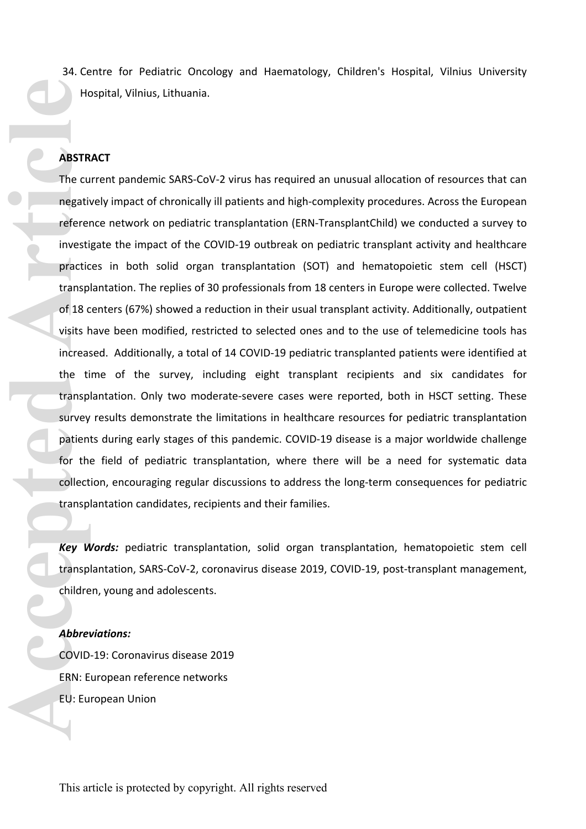34. Centre for Pediatric Oncology and Haematology, Children's Hospital, Vilnius University Hospital, Vilnius, Lithuania.

# **ABSTRACT**

The current pandemic SARS-CoV-2 virus has required an unusual allocation of resources that can negatively impact of chronically ill patients and high-complexity procedures. Across the European reference network on pediatric transplantation (ERN-TransplantChild) we conducted a survey to investigate the impact of the COVID-19 outbreak on pediatric transplant activity and healthcare practices in both solid organ transplantation (SOT) and hematopoietic stem cell (HSCT) transplantation. The replies of 30 professionals from 18 centers in Europe were collected. Twelve of 18 centers (67%) showed a reduction in their usual transplant activity. Additionally, outpatient visits have been modified, restricted to selected ones and to the use of telemedicine tools has increased. Additionally, a total of 14 COVID-19 pediatric transplanted patients were identified at the time of the survey, including eight transplant recipients and six candidates for transplantation. Only two moderate-severe cases were reported, both in HSCT setting. These survey results demonstrate the limitations in healthcare resources for pediatric transplantation patients during early stages of this pandemic. COVID-19 disease is a major worldwide challenge for the field of pediatric transplantation, where there will be a need for systematic data collection, encouraging regular discussions to address the long-term consequences for pediatric transplantation candidates, recipients and their families. He cu<br> **ABSTR**<br>
The cu<br>
negative reference investical reference investical practic transp<br>
of 18 c<br>
visits he increase the till transp<br>
survey<br>
patiem for the collect<br>
transp<br> *Key M*<br>
transp<br>
childre<br> *Abbrev* ID<br>
ERN: E<br>

*Key Words:* pediatric transplantation, solid organ transplantation, hematopoietic stem cell transplantation, SARS-CoV-2, coronavirus disease 2019, COVID-19, post-transplant management, children, young and adolescents.

#### *Abbreviations:*

COVID-19: Coronavirus disease 2019 ERN: European reference networks EU: European Union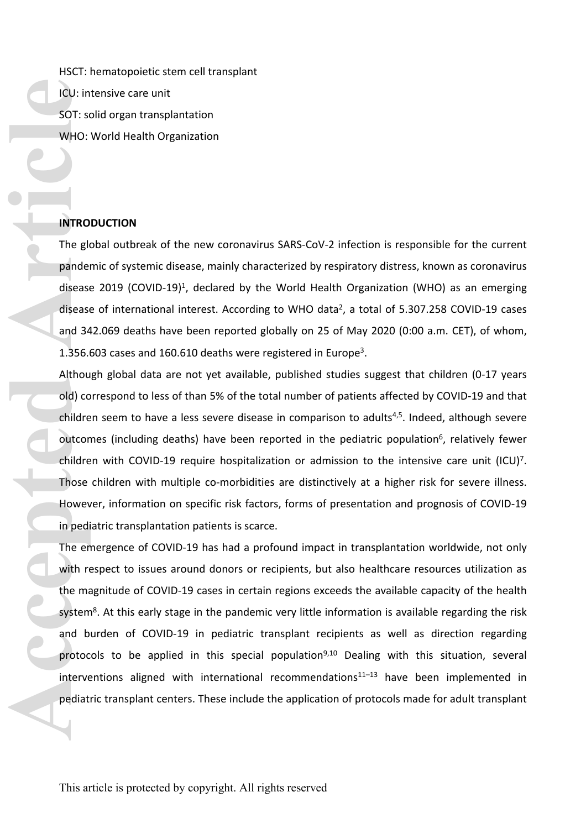HSCT: hematopoietic stem cell transplant ICU: intensive care unit SOT: solid organ transplantation WHO: World Health Organization

# **INTRODUCTION**

The global outbreak of the new coronavirus SARS-CoV-2 infection is responsible for the current pandemic of systemic disease, mainly characterized by respiratory distress, known as coronavirus disease 2019 (COVID-19)<sup>1</sup>, declared by the World Health Organization (WHO) as an emerging disease of international interest. According to WHO data<sup>2</sup>, a total of 5.307.258 COVID-19 cases and 342.069 deaths have been reported globally on 25 of May 2020 (0:00 a.m. CET), of whom, 1.356.603 cases and 160.610 deaths were registered in Europe<sup>3</sup>.

Although global data are not yet available, published studies suggest that children (0-17 years old) correspond to less of than 5% of the total number of patients affected by COVID-19 and that children seem to have a less severe disease in comparison to adults<sup>4,5</sup>. Indeed, although severe outcomes (including deaths) have been reported in the pediatric population<sup>6</sup>, relatively fewer children with COVID-19 require hospitalization or admission to the intensive care unit  $(ICU)^7$ . Those children with multiple co-morbidities are distinctively at a higher risk for severe illness. However, information on specific risk factors, forms of presentation and prognosis of COVID-19 in pediatric transplantation patients is scarce. **Accession 2018**<br> **Access 1999**<br> **Article**<br> **Article**<br> **Article**<br> **Article**<br> **Article**<br> **Article**<br> **Article**<br> **Article**<br> **Article**<br> **Article**<br> **Article**<br> **Article**<br> **Article**<br> **Article**<br> **Article**<br> **Example 11**<br> **Article**<br>

The emergence of COVID-19 has had a profound impact in transplantation worldwide, not only with respect to issues around donors or recipients, but also healthcare resources utilization as the magnitude of COVID-19 cases in certain regions exceeds the available capacity of the health system<sup>8</sup>. At this early stage in the pandemic very little information is available regarding the risk and burden of COVID-19 in pediatric transplant recipients as well as direction regarding protocols to be applied in this special population<sup>9,10</sup> Dealing with this situation, several interventions aligned with international recommendations $11-13$  have been implemented in pediatric transplant centers. These include the application of protocols made for adult transplant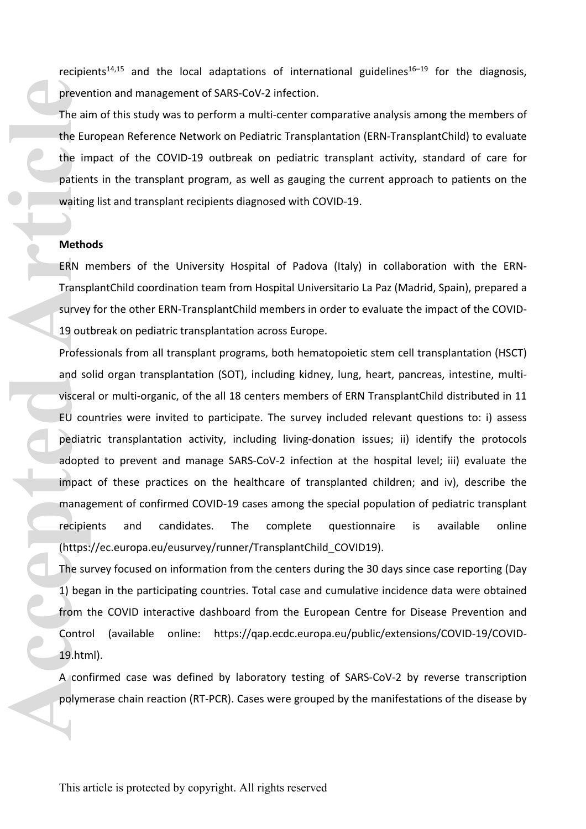recipients<sup>14,15</sup> and the local adaptations of international guidelines<sup>16-19</sup> for the diagnosis, prevention and management of SARS-CoV-2 infection.

The aim of this study was to perform a multi-center comparative analysis among the members of the European Reference Network on Pediatric Transplantation (ERN-TransplantChild) to evaluate the impact of the COVID-19 outbreak on pediatric transplant activity, standard of care for patients in the transplant program, as well as gauging the current approach to patients on the waiting list and transplant recipients diagnosed with COVID-19.

# **Methods**

ERN members of the University Hospital of Padova (Italy) in collaboration with the ERN-TransplantChild coordination team from Hospital Universitario La Paz (Madrid, Spain), prepared a survey for the other ERN-TransplantChild members in order to evaluate the impact of the COVID-19 outbreak on pediatric transplantation across Europe.

Professionals from all transplant programs, both hematopoietic stem cell transplantation (HSCT) and solid organ transplantation (SOT), including kidney, lung, heart, pancreas, intestine, multivisceral or multi-organic, of the all 18 centers members of ERN TransplantChild distributed in 11 EU countries were invited to participate. The survey included relevant questions to: i) assess pediatric transplantation activity, including living-donation issues; ii) identify the protocols adopted to prevent and manage SARS-CoV-2 infection at the hospital level; iii) evaluate the impact of these practices on the healthcare of transplanted children; and iv), describe the management of confirmed COVID-19 cases among the special population of pediatric transplant recipients and candidates. The complete questionnaire is available online ([https://ec.europa.eu/eusurvey/runner/TransplantChild\\_COVID19](https://ec.europa.eu/eusurvey/runner/TransplantChild_COVID19)). **Prever<br>
The air<br>
the Eu<br>
the im<br>
patien<br>
waiting<br>
Metho<br>
ERN n<br>
Transp<br>
survey<br>
19 out<br>
Profes.<br>
and s[c](https://qap.ecdc.europa.eu/public/extensions/COVID-19/COVID-19.html)<br>
viscera<br>
EU cou<br>
Profes.<br>
and sc<br>
viscera<br>
EU cou<br>
pediat<br>
adopte<br>
impact<br>
manag<br>
recipie<br>
(https:<br>
The su<br>
1) beg<br>** 

The survey focused on information from the centers during the 30 days since case reporting (Day 1) began in the participating countries. Total case and cumulative incidence data were obtained from the COVID interactive dashboard from the European Centre for Disease Prevention and Control (available online: [https://qap.ecdc.europa.eu/public/extensions/COVID-19/COVID-](https://qap.ecdc.europa.eu/public/extensions/COVID-19/COVID-19.html)19.html).

A confirmed case was defined by laboratory testing of SARS-CoV-2 by reverse transcription polymerase chain reaction (RT-PCR). Cases were grouped by the manifestations of the disease by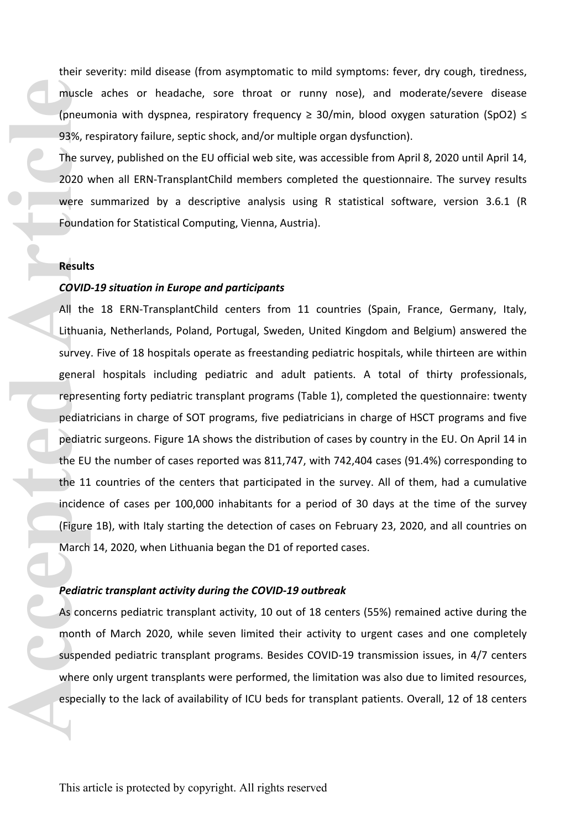their severity: mild disease (from asymptomatic to mild symptoms: fever, dry cough, tiredness, muscle aches or headache, sore throat or runny nose), and moderate/severe disease (pneumonia with dyspnea, respiratory frequency  $\geq 30$ /min, blood oxygen saturation (SpO2)  $\leq$ 93%, respiratory failure, septic shock, and/or multiple organ dysfunction).

The survey, published on the EU official web site, was accessible from April 8, 2020 until April 14, 2020 when all ERN-TransplantChild members completed the questionnaire. The survey results were summarized by a descriptive analysis using R statistical software, version 3.6.1 (R Foundation for Statistical Computing, Vienna, Austria).

#### **Results**

#### *COVID-19 situation in Europe and participants*

All the 18 ERN-TransplantChild centers from 11 countries (Spain, France, Germany, Italy, Lithuania, Netherlands, Poland, Portugal, Sweden, United Kingdom and Belgium) answered the survey. Five of 18 hospitals operate as freestanding pediatric hospitals, while thirteen are within general hospitals including pediatric and adult patients. A total of thirty professionals, representing forty pediatric transplant programs (Table 1), completed the questionnaire: twenty pediatricians in charge of SOT programs, five pediatricians in charge of HSCT programs and five pediatric surgeons. Figure 1A shows the distribution of cases by country in the EU. On April 14 in the EU the number of cases reported was 811,747, with 742,404 cases (91.4%) corresponding to the 11 countries of the centers that participated in the survey. All of them, had a cumulative incidence of cases per 100,000 inhabitants for a period of 30 days at the time of the survey (Figure 1B), with Italy starting the detection of cases on February 23, 2020, and all countries on March 14, 2020, when Lithuania began the D1 of reported cases. muscle<br>(pneur<br>93%, ri<br>The su<br>2020 v<br>were<br>Found:<br>Result<br>COVID<br>All the Linder<br>generalized at pediat<br>pediat<br>the EU<br>the 11<br>incider<br>(Figure March<br>Pediat<br>As continued in the Linder<br>March<br>Pediat<br>As continued in the Linder<br>As cont

#### *Pediatric transplant activity during the COVID-19 outbreak*

As concerns pediatric transplant activity, 10 out of 18 centers (55%) remained active during the month of March 2020, while seven limited their activity to urgent cases and one completely suspended pediatric transplant programs. Besides COVID-19 transmission issues, in 4/7 centers where only urgent transplants were performed, the limitation was also due to limited resources, especially to the lack of availability of ICU beds for transplant patients. Overall, 12 of 18 centers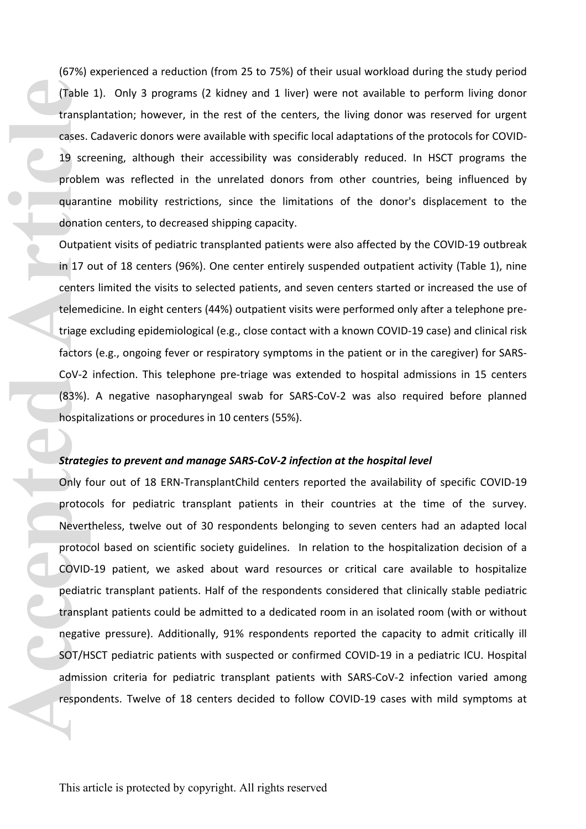(67%) experienced a reduction (from 25 to 75%) of their usual workload during the study period (Table 1). Only 3 programs (2 kidney and 1 liver) were not available to perform living donor transplantation; however, in the rest of the centers, the living donor was reserved for urgent cases. Cadaveric donors were available with specific local adaptations of the protocols for COVID-19 screening, although their accessibility was considerably reduced. In HSCT programs the problem was reflected in the unrelated donors from other countries, being influenced by quarantine mobility restrictions, since the limitations of the donor's displacement to the donation centers, to decreased shipping capacity.

Outpatient visits of pediatric transplanted patients were also affected by the COVID-19 outbreak in 17 out of 18 centers (96%). One center entirely suspended outpatient activity (Table 1), nine centers limited the visits to selected patients, and seven centers started or increased the use of telemedicine. In eight centers (44%) outpatient visits were performed only after a telephone pretriage excluding epidemiological (e.g., close contact with a known COVID-19 case) and clinical risk factors (e.g., ongoing fever or respiratory symptoms in the patient or in the caregiver) for SARS-CoV-2 infection. This telephone pre-triage was extended to hospital admissions in 15 centers (83%). A negative nasopharyngeal swab for SARS-CoV-2 was also required before planned hospitalizations or procedures in 10 centers (55%).

#### *Strategies to prevent and manage SARS-CoV-2 infection at the hospital level*

Only four out of 18 ERN-TransplantChild centers reported the availability of specific COVID-19 protocols for pediatric transplant patients in their countries at the time of the survey. Nevertheless, twelve out of 30 respondents belonging to seven centers had an adapted local protocol based on scientific society guidelines. In relation to the hospitalization decision of a COVID-19 patient, we asked about ward resources or critical care available to hospitalize pediatric transplant patients. Half of the respondents considered that clinically stable pediatric transplant patients could be admitted to a dedicated room in an isolated room (with or without negative pressure). Additionally, 91% respondents reported the capacity to admit critically ill SOT/HSCT pediatric patients with suspected or confirmed COVID-19 in a pediatric ICU. Hospital admission criteria for pediatric transplant patients with SARS-CoV-2 infection varied among respondents. Twelve of 18 centers decided to follow COVID-19 cases with mild symptoms at Table<br>transp<br>cases.<br>19 scr<br>proble<br>quarar<br>donati<br>in 17 c<br>center<br>tieleme<br>triage<br>factors<br>CoV-2<br>(83%).<br>hospit:<br>**Strate**<br>Only fielence<br>coV-2<br>(83%).<br>hospit:<br>**Strate**<br>Only fielence<br>protoc<br>Protoc<br>Protoc<br>Protoc<br>Protoc<br>Protoc<br>Protoc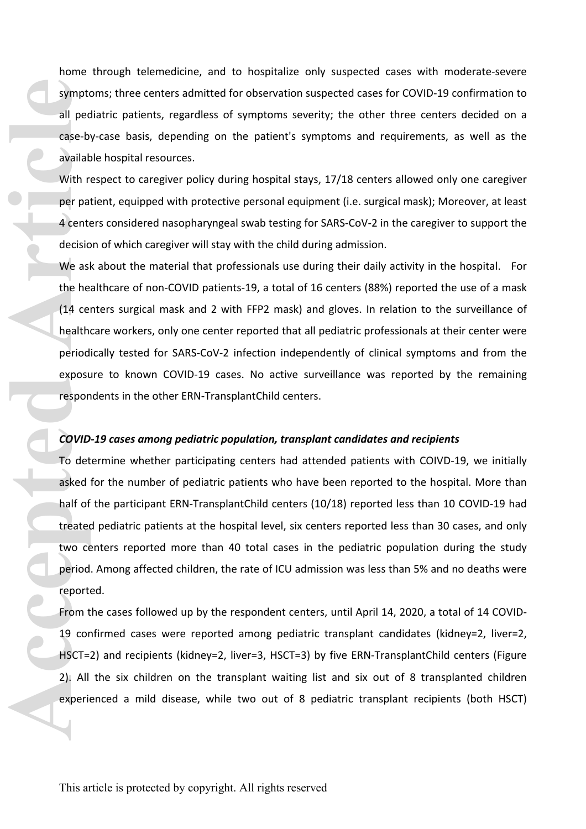home through telemedicine, and to hospitalize only suspected cases with moderate-severe symptoms; three centers admitted for observation suspected cases for COVID-19 confirmation to all pediatric patients, regardless of symptoms severity; the other three centers decided on a case-by-case basis, depending on the patient's symptoms and requirements, as well as the available hospital resources.

With respect to caregiver policy during hospital stays, 17/18 centers allowed only one caregiver per patient, equipped with protective personal equipment (i.e. surgical mask); Moreover, at least 4 centers considered nasopharyngeal swab testing for SARS-CoV-2 in the caregiver to support the decision of which caregiver will stay with the child during admission.

We ask about the material that professionals use during their daily activity in the hospital. For the healthcare of non-COVID patients-19, a total of 16 centers (88%) reported the use of a mask (14 centers surgical mask and 2 with FFP2 mask) and gloves. In relation to the surveillance of healthcare workers, only one center reported that all pediatric professionals at their center were periodically tested for SARS-CoV-2 infection independently of clinical symptoms and from the exposure to known COVID-19 cases. No active surveillance was reported by the remaining respondents in the other ERN-TransplantChild centers.

#### *COVID-19 cases among pediatric population, transplant candidates and recipients*

To determine whether participating centers had attended patients with COIVD-19, we initially asked for the number of pediatric patients who have been reported to the hospital. More than half of the participant ERN-TransplantChild centers (10/18) reported less than 10 COVID-19 had treated pediatric patients at the hospital level, six centers reported less than 30 cases, and only two centers reported more than 40 total cases in the pediatric population during the study period. Among affected children, the rate of ICU admission was less than 5% and no deaths were reported. **Accessible Lines Concerned Articles Concerned Articles Concerned Articles Concerned Articles Concerned Articles Concerned Articles Concerned Articles Concerned Articles Concerned Articles Concerned Articles Concerned Arti** 

From the cases followed up by the respondent centers, until April 14, 2020, a total of 14 COVID-19 confirmed cases were reported among pediatric transplant candidates (kidney=2, liver=2, HSCT=2) and recipients (kidney=2, liver=3, HSCT=3) by five ERN-TransplantChild centers (Figure 2). All the six children on the transplant waiting list and six out of 8 transplanted children experienced a mild disease, while two out of 8 pediatric transplant recipients (both HSCT)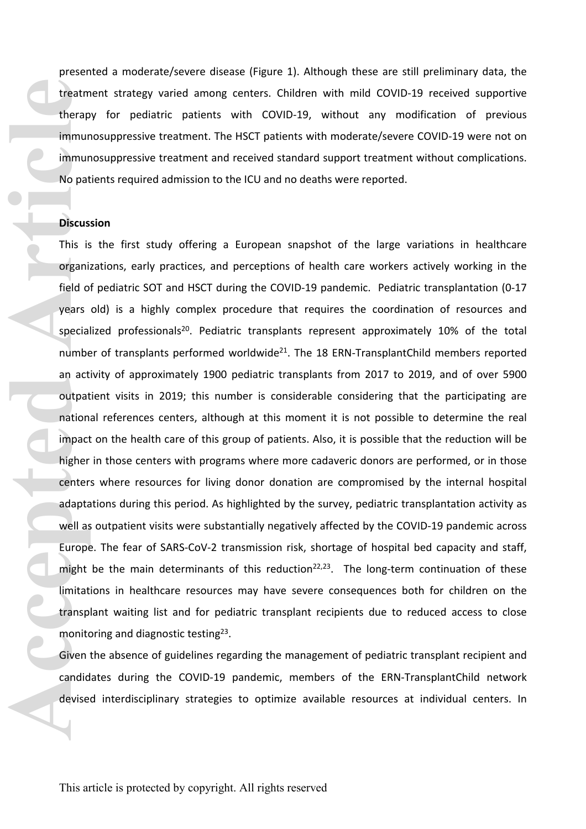presented a moderate/severe disease (Figure 1). Although these are still preliminary data, the treatment strategy varied among centers. Children with mild COVID-19 received supportive therapy for pediatric patients with COVID-19, without any modification of previous immunosuppressive treatment. The HSCT patients with moderate/severe COVID-19 were not on immunosuppressive treatment and received standard support treatment without complications. No patients required admission to the ICU and no deaths were reported.

# **Discussion**

This is the first study offering a European snapshot of the large variations in healthcare organizations, early practices, and perceptions of health care workers actively working in the field of pediatric SOT and HSCT during the COVID-19 pandemic. Pediatric transplantation (0-17 years old) is a highly complex procedure that requires the coordination of resources and specialized professionals<sup>20</sup>. Pediatric transplants represent approximately 10% of the total number of transplants performed worldwide<sup>21</sup>. The 18 ERN-TransplantChild members reported an activity of approximately 1900 pediatric transplants from 2017 to 2019, and of over 5900 outpatient visits in 2019; this number is considerable considering that the participating are national references centers, although at this moment it is not possible to determine the real impact on the health care of this group of patients. Also, it is possible that the reduction will be higher in those centers with programs where more cadaveric donors are performed, or in those centers where resources for living donor donation are compromised by the internal hospital adaptations during this period. As highlighted by the survey, pediatric transplantation activity as well as outpatient visits were substantially negatively affected by the COVID-19 pandemic across Europe. The fear of SARS-CoV-2 transmission risk, shortage of hospital bed capacity and staff, might be the main determinants of this reduction<sup>22,23</sup>. The long-term continuation of these limitations in healthcare resources may have severe consequences both for children on the transplant waiting list and for pediatric transplant recipients due to reduced access to close monitoring and diagnostic testing<sup>23</sup>. **Example 18 Internal Properties Article Concerns and Article Concerns and Article Concerns and Article Concerns and Article Concerns and Article Concerns and Article Concerns and Article Concerns and Article Concerns and A** 

Given the absence of guidelines regarding the management of pediatric transplant recipient and candidates during the COVID-19 pandemic, members of the ERN-TransplantChild network devised interdisciplinary strategies to optimize available resources at individual centers. In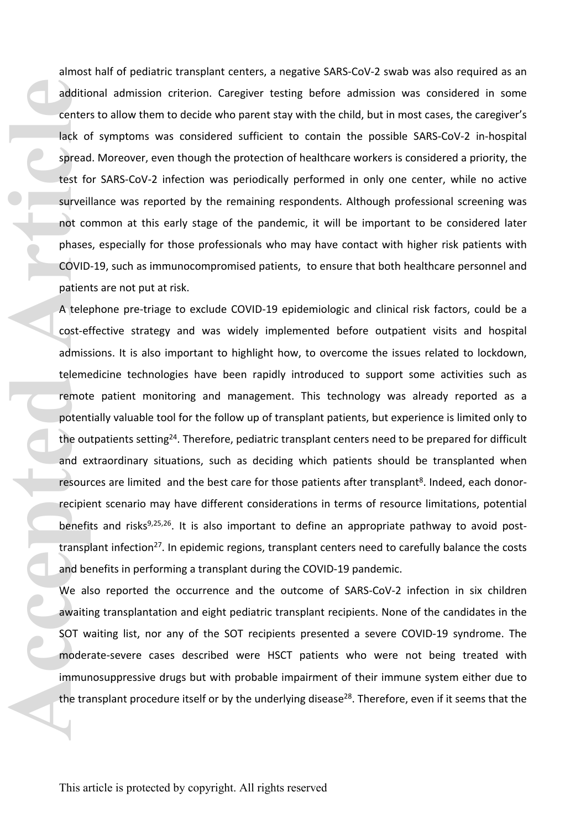almost half of pediatric transplant centers, a negative SARS-CoV-2 swab was also required as an additional admission criterion. Caregiver testing before admission was considered in some centers to allow them to decide who parent stay with the child, but in most cases, the caregiver's lack of symptoms was considered sufficient to contain the possible SARS-CoV-2 in-hospital spread. Moreover, even though the protection of healthcare workers is considered a priority, the test for SARS-CoV-2 infection was periodically performed in only one center, while no active surveillance was reported by the remaining respondents. Although professional screening was not common at this early stage of the pandemic, it will be important to be considered later phases, especially for those professionals who may have contact with higher risk patients with COVID-19, such as immunocompromised patients, to ensure that both healthcare personnel and patients are not put at risk.

A telephone pre-triage to exclude COVID-19 epidemiologic and clinical risk factors, could be a cost-effective strategy and was widely implemented before outpatient visits and hospital admissions. It is also important to highlight how, to overcome the issues related to lockdown, telemedicine technologies have been rapidly introduced to support some activities such as remote patient monitoring and management. This technology was already reported as a potentially valuable tool for the follow up of transplant patients, but experience is limited only to the outpatients setting<sup>24</sup>. Therefore, pediatric transplant centers need to be prepared for difficult and extraordinary situations, such as deciding which patients should be transplanted when resources are limited and the best care for those patients after transplant<sup>8</sup>. Indeed, each donorrecipient scenario may have different considerations in terms of resource limitations, potential benefits and risks $9,25,26$ . It is also important to define an appropriate pathway to avoid posttransplant infection<sup>27</sup>. In epidemic regions, transplant centers need to carefully balance the costs and benefits in performing a transplant during the COVID-19 pandemic. **Acception 1999**<br> **Accepted Article**<br> **Accepted Article**<br> **Accepted Article**<br> **Accepted Article**<br> **Accepted Article**<br> **Accepted Article**<br> **Accepted Article**<br> **Accepted Article**<br> **Accepted Article**<br> **Accepted Article**<br> **Acc** 

We also reported the occurrence and the outcome of SARS-CoV-2 infection in six children awaiting transplantation and eight pediatric transplant recipients. None of the candidates in the SOT waiting list, nor any of the SOT recipients presented a severe COVID-19 syndrome. The moderate-severe cases described were HSCT patients who were not being treated with immunosuppressive drugs but with probable impairment of their immune system either due to the transplant procedure itself or by the underlying disease<sup>28</sup>. Therefore, even if it seems that the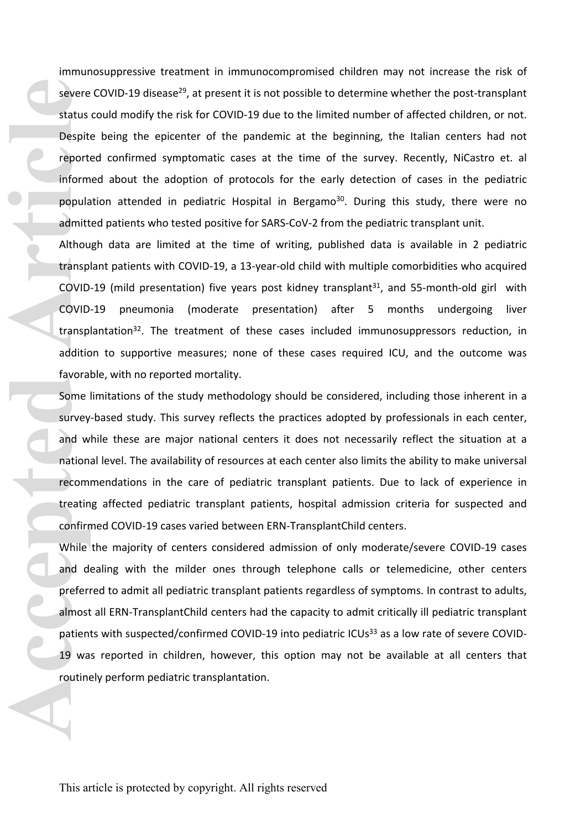immunosuppressive treatment in immunocompromised children may not increase the risk of severe COVID-19 disease<sup>29</sup>, at present it is not possible to determine whether the post-transplant status could modify the risk for COVID-19 due to the limited number of affected children, or not. Despite being the epicenter of the pandemic at the beginning, the Italian centers had not reported confirmed symptomatic cases at the time of the survey. Recently, NiCastro et. al informed about the adoption of protocols for the early detection of cases in the pediatric population attended in pediatric Hospital in Bergamo<sup>30</sup>. During this study, there were no admitted patients who tested positive for SARS-CoV-2 from the pediatric transplant unit. **Exactus**<br>
Despit<br> **Arthourism**<br> **Acception**<br> **Acception**<br> **Acception**<br> **Acception**<br> **Acception**<br> **Acception**<br> **COVID**<br> **EXACT Some Survey**<br> **And W**<br> **Additic**<br> **EXACT Some Survey<br>
and W<br>
and W<br>
and M<br>
and d<br>
<b>Arthourism**<br>

Although data are limited at the time of writing, published data is available in 2 pediatric transplant patients with COVID-19, a 13-year-old child with multiple comorbidities who acquired COVID-19 (mild presentation) five years post kidney transplant<sup>31</sup>, and 55-month-old girl with COVID-19 pneumonia (moderate presentation) after 5 months undergoing liver transplantation<sup>32</sup>. The treatment of these cases included immunosuppressors reduction, in addition to supportive measures; none of these cases required ICU, and the outcome was favorable, with no reported mortality.

Some limitations of the study methodology should be considered, including those inherent in a survey-based study. This survey reflects the practices adopted by professionals in each center, and while these are major national centers it does not necessarily reflect the situation at a national level. The availability of resources at each center also limits the ability to make universal recommendations in the care of pediatric transplant patients. Due to lack of experience in treating affected pediatric transplant patients, hospital admission criteria for suspected and confirmed COVID-19 cases varied between ERN-TransplantChild centers.

While the majority of centers considered admission of only moderate/severe COVID-19 cases and dealing with the milder ones through telephone calls or telemedicine, other centers preferred to admit all pediatric transplant patients regardless of symptoms. In contrast to adults, almost all ERN-TransplantChild centers had the capacity to admit critically ill pediatric transplant patients with suspected/confirmed COVID-19 into pediatric ICUs<sup>33</sup> as a low rate of severe COVID-19 was reported in children, however, this option may not be available at all centers that routinely perform pediatric transplantation.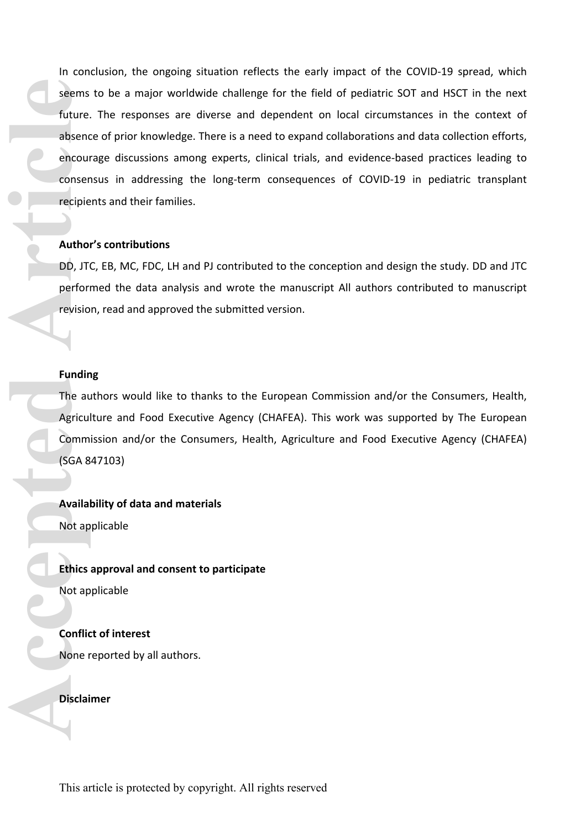In conclusion, the ongoing situation reflects the early impact of the COVID-19 spread, which seems to be a major worldwide challenge for the field of pediatric SOT and HSCT in the next future. The responses are diverse and dependent on local circumstances in the context of absence of prior knowledge. There is a need to expand collaborations and data collection efforts, encourage discussions among experts, clinical trials, and evidence-based practices leading to consensus in addressing the long-term consequences of COVID-19 in pediatric transplant recipients and their families. **Example 18**<br> **Accepted Article**<br> **Accepted Article**<br> **Accepted Article**<br> **Accepted Article**<br> **Accepted Article**<br> **Accepted Article**<br> **Accepted Article**<br> **Accepted Article**<br> **Availal**<br> **Availal**<br> **Availal**<br> **Availal**<br> **Ava** 

#### **Author's contributions**

DD, JTC, EB, MC, FDC, LH and PJ contributed to the conception and design the study. DD and JTC performed the data analysis and wrote the manuscript All authors contributed to manuscript revision, read and approved the submitted version.

# **Funding**

The authors would like to thanks to the European Commission and/or the Consumers, Health, Agriculture and Food Executive Agency (CHAFEA). This work was supported by The European Commission and/or the Consumers, Health, Agriculture and Food Executive Agency (CHAFEA) (SGA 847103)

**Availability of data and materials** Not applicable

**Ethics approval and consent to participate** Not applicable

**Conflict of interest** None reported by all authors.

**Disclaimer**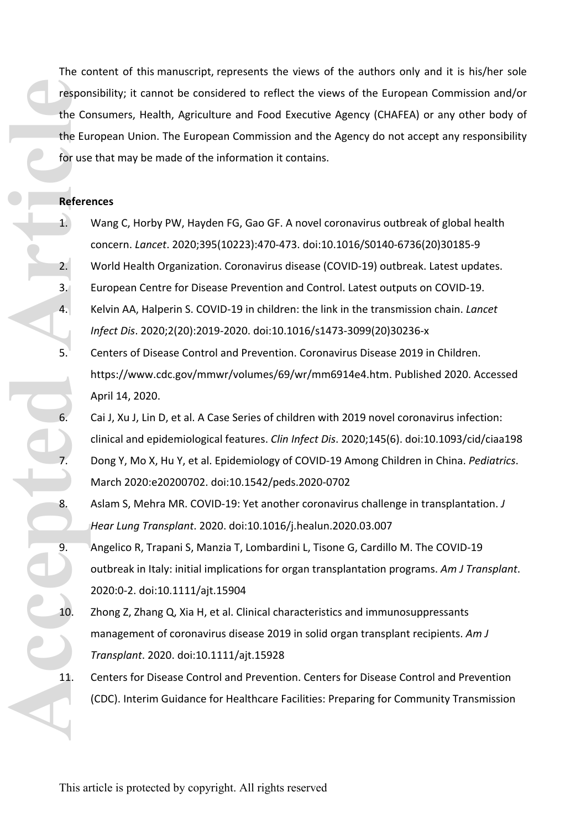The content of this manuscript, represents the views of the authors only and it is his/her sole responsibility; it cannot be considered to reflect the views of the European Commission and/or the Consumers, Health, Agriculture and Food Executive Agency (CHAFEA) or any other body of the European Union. The European Commission and the Agency do not accept any responsibility for use that may be made of the information it contains. **Contract Article** Contract The Contract Tespon<br>
The Contract Tespon<br>
The Contract Tespon<br>
The Contract Tespon<br>
The Contract Tespon<br>
The Contract Tespon<br>
The Contract Tespon<br>
The Contract Tespon<br>
The Contract Tespon<br>
The C

#### **References**

- 1. Wang C, Horby PW, Hayden FG, Gao GF. A novel coronavirus outbreak of global health concern. *Lancet*. 2020;395(10223):470-473. doi:10.1016/S0140-6736(20)30185-9
- 2. World Health Organization. Coronavirus disease (COVID-19) outbreak. Latest updates.
- 3. European Centre for Disease Prevention and Control. Latest outputs on COVID-19.
- 4. Kelvin AA, Halperin S. COVID-19 in children: the link in the transmission chain. *Lancet Infect Dis*. 2020;2(20):2019-2020. doi:10.1016/s1473-3099(20)30236-x
- 5. Centers of Disease Control and Prevention. Coronavirus Disease 2019 in Children. https://www.cdc.gov/mmwr/volumes/69/wr/mm6914e4.htm. Published 2020. Accessed April 14, 2020.
- 6. Cai J, Xu J, Lin D, et al. A Case Series of children with 2019 novel coronavirus infection: clinical and epidemiological features. *Clin Infect Dis*. 2020;145(6). doi:10.1093/cid/ciaa198 7. Dong Y, Mo X, Hu Y, et al. Epidemiology of COVID-19 Among Children in China. *Pediatrics*. March 2020:e20200702. doi:10.1542/peds.2020-0702
- 8. Aslam S, Mehra MR. COVID-19: Yet another coronavirus challenge in transplantation. *J Hear Lung Transplant*. 2020. doi:10.1016/j.healun.2020.03.007
- 9. Angelico R, Trapani S, Manzia T, Lombardini L, Tisone G, Cardillo M. The COVID-19 outbreak in Italy: initial implications for organ transplantation programs. *Am J Transplant*. 2020:0-2. doi:10.1111/ajt.15904
- 10. Zhong Z, Zhang Q, Xia H, et al. Clinical characteristics and immunosuppressants management of coronavirus disease 2019 in solid organ transplant recipients. *Am J Transplant*. 2020. doi:10.1111/ajt.15928
- 11. Centers for Disease Control and Prevention. Centers for Disease Control and Prevention (CDC). Interim Guidance for Healthcare Facilities: Preparing for Community Transmission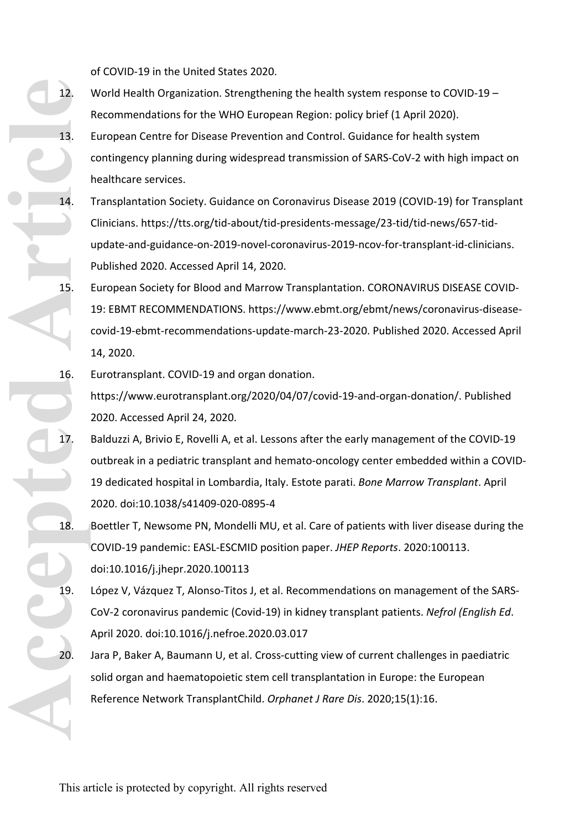of COVID-19 in the United States 2020.

- 12. World Health Organization. Strengthening the health system response to COVID-19 Recommendations for the WHO European Region: policy brief (1 April 2020).
- 13. European Centre for Disease Prevention and Control. Guidance for health system contingency planning during widespread transmission of SARS-CoV-2 with high impact on healthcare services.
- 14. Transplantation Society. Guidance on Coronavirus Disease 2019 (COVID-19) for Transplant Clinicians. https://tts.org/tid-about/tid-presidents-message/23-tid/tid-news/657-tidupdate-and-guidance-on-2019-novel-coronavirus-2019-ncov-for-transplant-id-clinicians. Published 2020. Accessed April 14, 2020.
- 15. European Society for Blood and Marrow Transplantation. CORONAVIRUS DISEASE COVID-19: EBMT RECOMMENDATIONS. https://www.ebmt.org/ebmt/news/coronavirus-diseasecovid-19-ebmt-recommendations-update-march-23-2020. Published 2020. Accessed April 14, 2020.
- 16. Eurotransplant. COVID-19 and organ donation. https://www.eurotransplant.org/2020/04/07/covid-19-and-organ-donation/. Published 2020. Accessed April 24, 2020.
- 17. Balduzzi A, Brivio E, Rovelli A, et al. Lessons after the early management of the COVID-19 outbreak in a pediatric transplant and hemato-oncology center embedded within a COVID-19 dedicated hospital in Lombardia, Italy. Estote parati. *Bone Marrow Transplant*. April 2020. doi:10.1038/s41409-020-0895-4 **Accepted Article**
	- 18. Boettler T, Newsome PN, Mondelli MU, et al. Care of patients with liver disease during the COVID-19 pandemic: EASL-ESCMID position paper. *JHEP Reports*. 2020:100113. doi:10.1016/j.jhepr.2020.100113
	- 19. López V, Vázquez T, Alonso-Titos J, et al. Recommendations on management of the SARS-CoV-2 coronavirus pandemic (Covid-19) in kidney transplant patients. *Nefrol (English Ed*. April 2020. doi:10.1016/j.nefroe.2020.03.017
	- 20. Jara P, Baker A, Baumann U, et al. Cross-cutting view of current challenges in paediatric solid organ and haematopoietic stem cell transplantation in Europe: the European Reference Network TransplantChild. *Orphanet J Rare Dis*. 2020;15(1):16.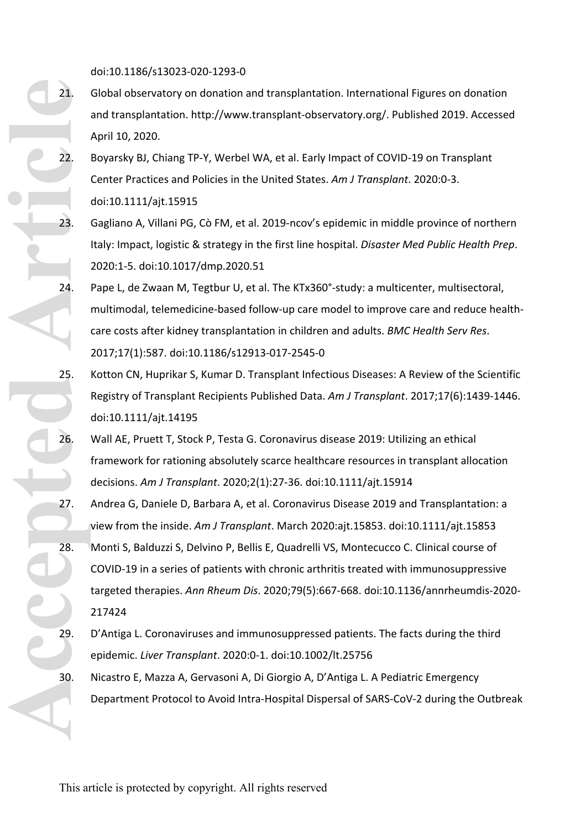doi:10.1186/s13023-020-1293-0

- 21. Global observatory on donation and transplantation. International Figures on donation and transplantation. http://www.transplant-observatory.org/. Published 2019. Accessed April 10, 2020.
- 22. Boyarsky BJ, Chiang TP-Y, Werbel WA, et al. Early Impact of COVID-19 on Transplant Center Practices and Policies in the United States. *Am J Transplant*. 2020:0-3. doi:10.1111/ajt.15915
- 23. Gagliano A, Villani PG, Cò FM, et al. 2019-ncov's epidemic in middle province of northern Italy: Impact, logistic & strategy in the first line hospital. *Disaster Med Public Health Prep*. 2020:1-5. doi:10.1017/dmp.2020.51
- 24. Pape L, de Zwaan M, Tegtbur U, et al. The KTx360°-study: a multicenter, multisectoral, multimodal, telemedicine-based follow-up care model to improve care and reduce healthcare costs after kidney transplantation in children and adults. *BMC Health Serv Res*. 2017;17(1):587. doi:10.1186/s12913-017-2545-0
- 25. Kotton CN, Huprikar S, Kumar D. Transplant Infectious Diseases: A Review of the Scientific Registry of Transplant Recipients Published Data. *Am J Transplant*. 2017;17(6):1439-1446. doi:10.1111/ajt.14195
- 26. Wall AE, Pruett T, Stock P, Testa G. Coronavirus disease 2019: Utilizing an ethical framework for rationing absolutely scarce healthcare resources in transplant allocation decisions. *Am J Transplant*. 2020;2(1):27-36. doi:10.1111/ajt.15914
- 27. Andrea G, Daniele D, Barbara A, et al. Coronavirus Disease 2019 and Transplantation: a view from the inside. *Am J Transplant*. March 2020:ajt.15853. doi:10.1111/ajt.15853
- 28. Monti S, Balduzzi S, Delvino P, Bellis E, Quadrelli VS, Montecucco C. Clinical course of COVID-19 in a series of patients with chronic arthritis treated with immunosuppressive targeted therapies. *Ann Rheum Dis*. 2020;79(5):667-668. doi:10.1136/annrheumdis-2020- 217424 **Control Control Control Control Control Control Control Control Control Control Control Control Control Control Control Control Control Control Control Control Control Control Control Control Control Control Control Contr** 
	- 29. D'Antiga L. Coronaviruses and immunosuppressed patients. The facts during the third epidemic. *Liver Transplant*. 2020:0-1. doi:10.1002/lt.25756
	- 30. Nicastro E, Mazza A, Gervasoni A, Di Giorgio A, D'Antiga L. A Pediatric Emergency Department Protocol to Avoid Intra-Hospital Dispersal of SARS-CoV-2 during the Outbreak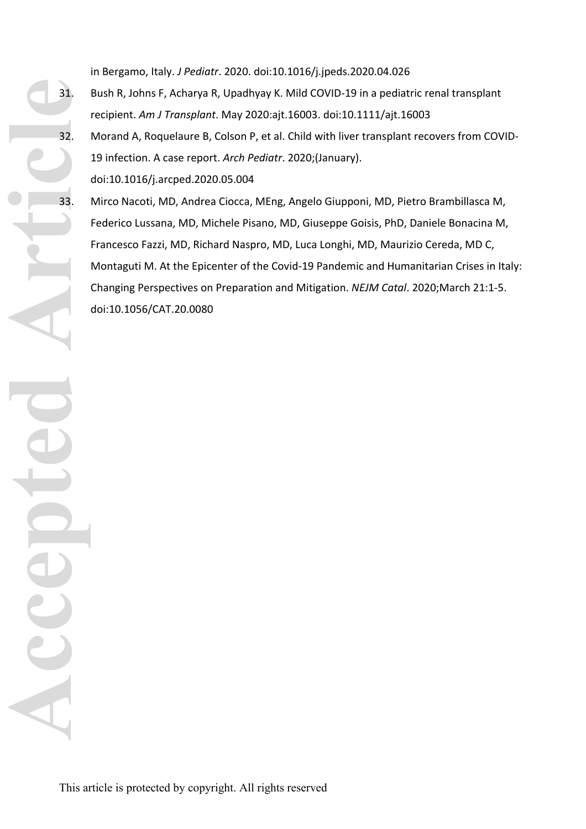in Bergamo, Italy. *J Pediatr*. 2020. doi:10.1016/j.jpeds.2020.04.026

- 31. Bush R, Johns F, Acharya R, Upadhyay K. Mild COVID-19 in a pediatric renal transplant recipient. *Am J Transplant*. May 2020:ajt.16003. doi:10.1111/ajt.16003
- 32. Morand A, Roquelaure B, Colson P, et al. Child with liver transplant recovers from COVID-19 infection. A case report. *Arch Pediatr*. 2020;(January). doi:10.1016/j.arcped.2020.05.004
- 33. Mirco Nacoti, MD, Andrea Ciocca, MEng, Angelo Giupponi, MD, Pietro Brambillasca M, Federico Lussana, MD, Michele Pisano, MD, Giuseppe Goisis, PhD, Daniele Bonacina M, Francesco Fazzi, MD, Richard Naspro, MD, Luca Longhi, MD, Maurizio Cereda, MD C, Montaguti M. At the Epicenter of the Covid-19 Pandemic and Humanitarian Crises in Italy: Changing Perspectives on Preparation and Mitigation. *NEJM Catal*. 2020;March 21:1-5. doi:10.1056/CAT.20.0080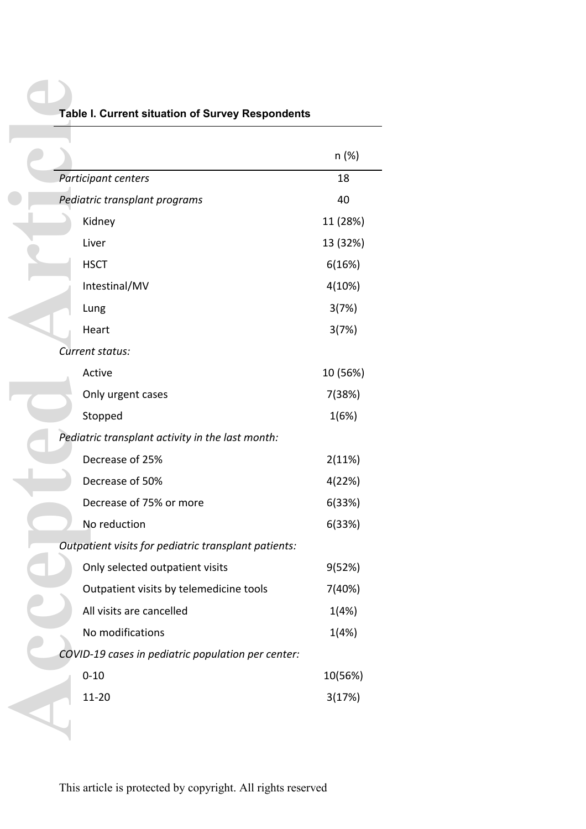|                                                      | n (%)    |
|------------------------------------------------------|----------|
| Participant centers                                  | 18       |
| Pediatric transplant programs                        | 40       |
| Kidney                                               | 11 (28%) |
| Liver                                                | 13 (32%) |
| <b>HSCT</b>                                          | 6(16%)   |
| Intestinal/MV                                        | 4(10%)   |
| Lung                                                 | 3(7%)    |
| Heart                                                | 3(7%)    |
| Current status:                                      |          |
| Active                                               | 10 (56%) |
| Only urgent cases                                    | 7(38%)   |
| Stopped                                              | 1(6%)    |
| Pediatric transplant activity in the last month:     |          |
| Decrease of 25%                                      | 2(11%)   |
| Decrease of 50%                                      | 4(22%)   |
| Decrease of 75% or more                              | 6(33%)   |
| No reduction                                         | 6(33%)   |
| Outpatient visits for pediatric transplant patients: |          |
| Only selected outpatient visits                      | 9(52%)   |
| Outpatient visits by telemedicine tools              | 7(40%)   |
| All visits are cancelled                             | 1(4%)    |
| No modifications                                     | 1(4%)    |
| COVID-19 cases in pediatric population per center:   |          |
| $0 - 10$                                             | 10(56%)  |
| 11-20                                                | 3(17%)   |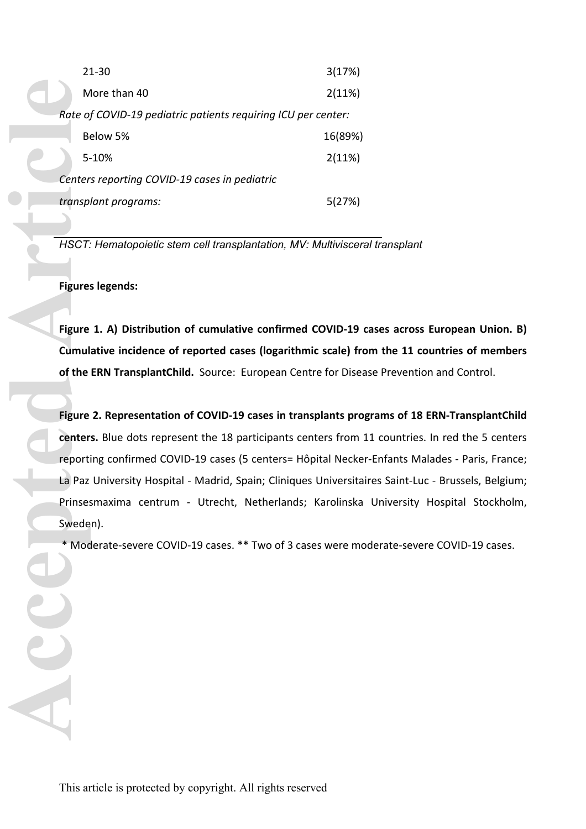|                                                              |  | $21 - 30$                                                        | 3(17%)  |
|--------------------------------------------------------------|--|------------------------------------------------------------------|---------|
|                                                              |  | More than 40                                                     | 2(11%)  |
|                                                              |  | Rate of COVID-19 pediatric patients requiring ICU per center:    |         |
|                                                              |  | Below 5%                                                         | 16(89%) |
|                                                              |  | 5-10%                                                            | 2(11%)  |
|                                                              |  | Centers reporting COVID-19 cases in pediatric                    |         |
|                                                              |  | transplant programs:                                             | 5(27%)  |
|                                                              |  |                                                                  |         |
|                                                              |  | HSCT: Hematopoietic stem cell transplantation, MV: Multiviscera  |         |
|                                                              |  |                                                                  |         |
|                                                              |  | <b>Figures legends:</b>                                          |         |
|                                                              |  |                                                                  |         |
| Figure 1. A) Distribution of cumulative confirmed COVID-19 o |  |                                                                  |         |
|                                                              |  | Cumulative incidence of reported cases (logarithmic scale) fro   |         |
|                                                              |  | of the ERN TransplantChild. Source: European Centre for Disea    |         |
|                                                              |  |                                                                  |         |
|                                                              |  | Figure 2. Representation of COVID-19 cases in transplants pro    |         |
|                                                              |  | centers. Blue dots represent the 18 participants centers from    |         |
|                                                              |  | reporting confirmed COVID-19 cases (5 centers= Hôpital Necke     |         |
|                                                              |  | La Paz University Hospital - Madrid, Spain; Cliniques Universita |         |
|                                                              |  | Prinsesmaxima centrum - Utrecht, Netherlands; Karolinska         |         |
|                                                              |  | Sweden).                                                         |         |
|                                                              |  | * Moderate-severe COVID-19 cases. ** Two of 3 cases were mc      |         |
|                                                              |  |                                                                  |         |
|                                                              |  |                                                                  |         |
|                                                              |  |                                                                  |         |
|                                                              |  |                                                                  |         |
|                                                              |  |                                                                  |         |
|                                                              |  |                                                                  |         |
|                                                              |  |                                                                  |         |
|                                                              |  |                                                                  |         |
|                                                              |  |                                                                  |         |

*HSCT: Hematopoietic stem cell transplantation, MV: Multivisceral transplant*

**Figure 1. A) Distribution of cumulative confirmed COVID-19 cases across European Union. B) Cumulative incidence of reported cases (logarithmic scale) from the 11 countries of members of the ERN TransplantChild.** Source: European Centre for Disease Prevention and Control.

**Figure 2. Representation of COVID-19 cases in transplants programs of 18 ERN-TransplantChild centers.** Blue dots represent the 18 participants centers from 11 countries. In red the 5 centers reporting confirmed COVID-19 cases (5 centers= Hôpital Necker-Enfants Malades - Paris, France; La Paz University Hospital - Madrid, Spain; Cliniques Universitaires Saint-Luc - Brussels, Belgium; Prinsesmaxima centrum - Utrecht, Netherlands; Karolinska University Hospital Stockholm, Sweden).

\* Moderate-severe COVID-19 cases. \*\* Two of 3 cases were moderate-severe COVID-19 cases.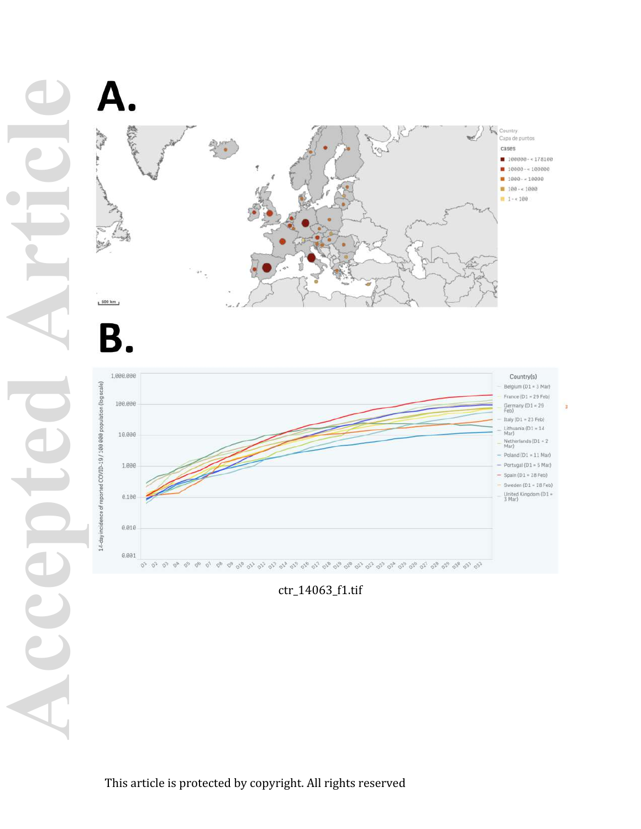



ctr\_14063\_f1.tif